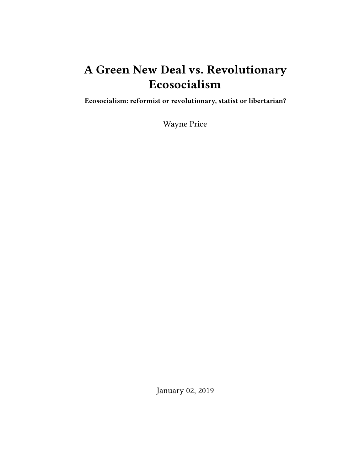# **A Green New Deal vs. Revolutionary Ecosocialism**

**Ecosocialism: reformist or revolutionary, statist or libertarian?**

Wayne Price

January 02, 2019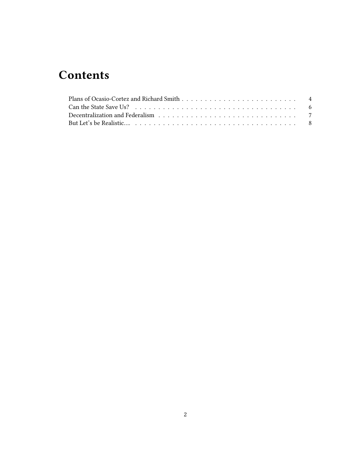## **Contents**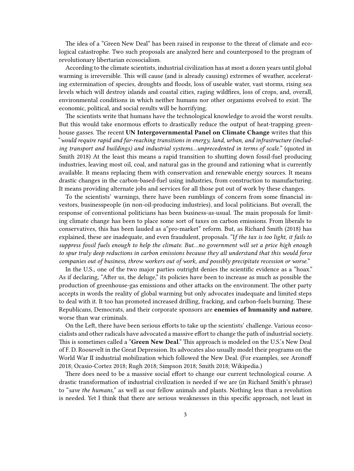The idea of a "Green New Deal" has been raised in response to the threat of climate and ecological catastrophe. Two such proposals are analyzed here and counterposed to the program of revolutionary libertarian ecosocialism.

According to the climate scientists, industrial civilization has at most a dozen years until global warming is irreversible. This will cause (and is already causing) extremes of weather, accelerating extermination of species, droughts and floods, loss of useable water, vast storms, rising sea levels which will destroy islands and coastal cities, raging wildfires, loss of crops, and, overall, environmental conditions in which neither humans nor other organisms evolved to exist. The economic, political, and social results will be horrifying.

The scientists write that humans have the technological knowledge to avoid the worst results. But this would take enormous efforts to drastically reduce the output of heat-trapping greenhouse gasses. The recent **UN Intergovernmental Panel on Climate Change** writes that this "*would require rapid and far-reaching transitions in energy, land, urban, and infrastructure (including transport and buildings) and industrial systems…unprecedented in terms of scale.*" (quoted in Smith 2018) At the least this means a rapid transition to shutting down fossil-fuel producing industries, leaving most oil, coal, and natural gas in the ground and rationing what is currently available. It means replacing them with conservation and renewable energy sources. It means drastic changes in the carbon-based-fuel using industries, from construction to manufacturing. It means providing alternate jobs and services for all those put out of work by these changes.

To the scientists' warnings, there have been rumblings of concern from some financial investors, businesspeople (in non-oil-producing industries), and local politicians. But overall, the response of conventional politicians has been business-as-usual. The main proposals for limiting climate change has been to place some sort of taxes on carbon emissions. From liberals to conservatives, this has been lauded as a"pro-market" reform. But, as Richard Smith (2018) has explained, these are inadequate, and even fraudulent, proposals. "I*f the tax is too light, it fails to suppress fossil fuels enough to help the climate. But…no government will set a price high enough to spur truly deep reductions in carbon emissions because they all understand that this would force companies out of business, throw workers out of work, and possibly precipitate recession or worse.*"

In the U.S., one of the two major parties outright denies the scientific evidence as a "hoax." As if declaring, "After us, the deluge," its policies have been to increase as much as possible the production of greenhouse-gas emissions and other attacks on the environment. The other party accepts in words the reality of global warming but only advocates inadequate and limited steps to deal with it. It too has promoted increased drilling, fracking, and carbon-fuels burning. These Republicans, Democrats, and their corporate sponsors are **enemies of humanity and nature**, worse than war criminals.

On the Left, there have been serious efforts to take up the scientists' challenge. Various ecosocialists and other radicals have advocated a massive effort to change the path of industrial society. This is sometimes called a "**Green New Deal**." This approach is modeled on the U.S.'s New Deal of F. D. Roosevelt in the Great Depression. Its advocates also usually model their programs on the World War II industrial mobilization which followed the New Deal. (For examples, see Aronoff 2018; Ocasio-Cortez 2018; Rugh 2018; Simpson 2018; Smith 2018; Wikipedia.)

There does need to be a massive social effort to change our current technological course. A drastic transformation of industrial civilization is needed if we are (in Richard Smith's phrase) to "*save the humans,*" as well as our fellow animals and plants. Nothing less than a revolution is needed. Yet I think that there are serious weaknesses in this specific approach, not least in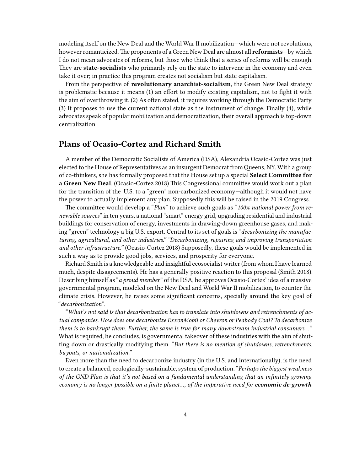modeling itself on the New Deal and the World War II mobilization—which were not revolutions, however romanticized. The proponents of a Green New Deal are almost all **reformists**—by which I do not mean advocates of reforms, but those who think that a series of reforms will be enough. They are **state-socialists** who primarily rely on the state to intervene in the economy and even take it over; in practice this program creates not socialism but state capitalism.

From the perspective of **revolutionary anarchist-socialism**, the Green New Deal strategy is problematic because it means (1) an effort to modify existing capitalism, not to fight it with the aim of overthrowing it. (2) As often stated, it requires working through the Democratic Party. (3) It proposes to use the current national state as the instrument of change. Finally (4), while advocates speak of popular mobilization and democratization, their overall approach is top-down centralization.

### <span id="page-3-0"></span>**Plans of Ocasio-Cortez and Richard Smith**

A member of the Democratic Socialists of America (DSA), Alexandria Ocasio-Cortez was just elected to the House of Representatives as an insurgent Democrat fromQueens, NY. With a group of co-thinkers, she has formally proposed that the House set up a special **Select Committee for a Green New Deal**. (Ocasio-Cortez 2018) This Congressional committee would work out a plan for the transition of the .U.S. to a "green" non-carbonized economy—although it would not have the power to actually implement any plan. Supposedly this will be raised in the 2019 Congress.

The committee would develop a "*Plan*" to achieve such goals as "*100% national power from renewable sources*" in ten years, a national "smart" energy grid, upgrading residential and industrial buildings for conservation of energy, investments in drawing-down greenhouse gases, and making "green" technology a big U.S. export. Central to its set of goals is "*decarbonizing the manufacturing, agricultural, and other industries." "Decarbonizing, repairing and improving transportation and other infrastructure."* (Ocasio-Cortez 2018) Supposedly, these goals would be implemented in such a way as to provide good jobs, services, and prosperity for everyone.

Richard Smith is a knowledgeable and insightful ecosocialist writer (from whom I have learned much, despite disagreements). He has a generally positive reaction to this proposal (Smith 2018). Describing himself as "*a proud member*" of the DSA, he approves Ocasio-Cortez' idea of a massive governmental program, modeled on the New Deal and World War II mobilization, to counter the climate crisis. However, he raises some significant concerns, specially around the key goal of "*decarbonization*".

"*What's not said is that decarbonization has to translate into shutdowns and retrenchments of actual companies. How does one decarbonize ExxonMobil or Chevron or Peabody Coal? To decarbonize them is to bankrupt them. Further, the same is true for many downstream industrial consumers*…." What is required, he concludes, is governmental takeover of these industries with the aim of shutting down or drastically modifying them. "*But there is no mention of shutdowns, retrenchments, buyouts, or nationalization.*"

Even more than the need to decarbonize industry (in the U.S. and internationally), is the need to create a balanced, ecologically-sustainable, system of production. "*Perhaps the biggest weakness of the GND Plan is that it's not based on a fundamental understanding that an infinitely growing economy is no longer possible on a finite planet…, of the imperative need for economic de-growth*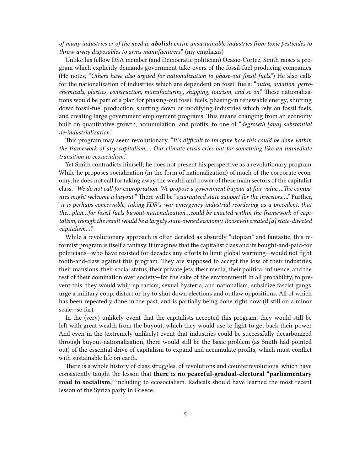*of many industries or of the need to abolish entire unsustainable industries from toxic pesticides to throw-away disposables to arms manufacturers*." (my emphasis)

Unlike his fellow DSA member (and Democratic politician) Ocasio-Cortez, Smith raises a program which explicitly demands government take-overs of the fossil-fuel producing companies. (He notes, "*Others have also argued for nationalization to phase-out fossil fuels*.") He also calls for the nationalization of industries which are dependent on fossil fuels: "*autos, aviation, petrochemicals, plastics, construction, manufacturing, shipping, tourism, and so on*." These nationalizations would be part of a plan for phasing-out fossil fuels, phasing-in renewable energy, shutting down fossil-fuel production, shutting down or modifying industries which rely on fossil fuels, and creating large government employment programs. This means changing from an economy built on quantitative growth, accumulation, and profits, to one of "*degrowth [and] substantial de-industrialization*."

This program may seem revolutionary. "*It's difficult to imagine how this could be done within the framework of any capitalism…. Our climate crisis cries out for something like an immediate transition to ecosocialism*."

Yet Smith contradicts himself; he does not present his perspective as a revolutionary program. While he proposes socialization (in the form of nationalization) of much of the corporate economy, he does not call for taking away the wealth and power of these main sectors of the capitalist class. "*We do not call for expropriation. We propose a government buyout at fair value….The companies might welcome a buyout.*" There will be "*guaranteed state support for the investors…*." Further, "*it is perhaps conceivable, taking FDR's war-emergency industrial reordering as a precedent, that the…plan…for fossil fuels buyout-nationalization…could be enacted within the framework of capitalism, though the result would be a largely state-owned economy. Roosevelt created [a] state-directed capitalism*…."

While a revolutionary approach is often derided as absurdly "utopian" and fantastic, this reformist program is itself a fantasy. It imagines that the capitalist class and its bought-and-paid-for politicians—who have resisted for decades any efforts to limit global warming—would not fight tooth-and-claw against this program. They are supposed to accept the loss of their industries, their mansions, their social status, their private jets, their media, their political influence, and the rest of their domination over society—for the sake of the environment! In all probability, to prevent this, they would whip up racism, sexual hysteria, and nationalism, subsidize fascist gangs, urge a military coup, distort or try to shut down elections and outlaw oppositions. All of which has been repeatedly done in the past, and is partially being done right now (if still on a minor scale—so far).

In the (very) unlikely event that the capitalists accepted this program, they would still be left with great wealth from the buyout, which they would use to fight to get back their power. And even in the (extremely unlikely) event that industries could be successfully decarbonized through buyout-nationalization, there would still be the basic problem (as Smith had pointed out) of the essential drive of capitalism to expand and accumulate profits, which must conflict with sustainable life on earth.

There is a whole history of class struggles, of revolutions and counterrevolutions, which have consistently taught the lesson that **there is no peaceful-gradual-electoral "parliamentary road to socialism,"** including to ecosocialism. Radicals should have learned the most recent lesson of the Syriza party in Greece.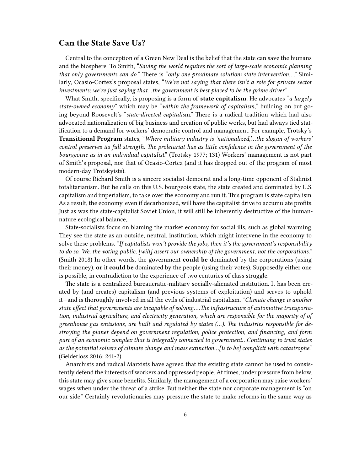#### <span id="page-5-0"></span>**Can the State Save Us?**

Central to the conception of a Green New Deal is the belief that the state can save the humans and the biosphere. To Smith, "*Saving the world requires the sort of large-scale economic planning that only governments can do.*" There is "*only one proximate solution: state intervention*…." Similarly, Ocasio-Cortez's proposal states, "*We're not saying that there isn't a role for private sector investments; we're just saying that…the government is best placed to be the prime driver*."

What Smith, specifically, is proposing is a form of **state capitalism**. He advocates "*a largely state-owned economy*" which may be "*within the framework of capitalism,*" building on but going beyond Roosevelt's "*state-directed capitalis*m." There is a radical tradition which had also advocated nationalization of big business and creation of public works, but had always tied statification to a demand for workers' democratic control and management. For example, Trotsky's **Transitional Program** states, "*Where military industry is 'nationalized,'…the slogan of workers' control preserves its full strength. The proletariat has as little confidence in the government of the bourgeoisie as in an individual capitalist*." (Trotsky 1977; 131) Workers' management is not part of Smith's proposal, nor that of Ocasio-Cortez (and it has dropped out of the program of most modern-day Trotskyists).

Of course Richard Smith is a sincere socialist democrat and a long-time opponent of Stalinist totalitarianism. But he calls on this U.S. bourgeois state, the state created and dominated by U.S. capitalism and imperialism, to take over the economy and run it. This program is state capitalism. As a result, the economy, even if decarbonized, will have the capitalist drive to accumulate profits. Just as was the state-capitalist Soviet Union, it will still be inherently destructive of the humannature ecological balance,.

State-socialists focus on blaming the market economy for social ills, such as global warming. They see the state as an outside, neutral, institution, which might intervene in the economy to solve these problems. "*If capitalists won't provide the jobs, then it's the government's responsibility to do so. We, the voting public, [will] assert our ownership of the government, not the corporations.*" (Smith 2018) In other words, the government **could be** dominated by the corporations (using their money), **or** it **could be** dominated by the people (using their votes). Supposedly either one is possible, in contradiction to the experience of two centuries of class struggle.

The state is a centralized bureaucratic-military socially-alienated institution. It has been created by (and creates) capitalism (and previous systems of exploitation) and serves to uphold it—and is thoroughly involved in all the evils of industrial capitalism. "*Climate change is another state effect that governments are incapable of solving….The infrastructure of automotive transportation, industrial agriculture, and electricity generation, which are responsible for the majority of of greenhouse gas emissions, are built and regulated by states (…). The industries responsible for destroying the planet depend on government regulation, police protection, and financing, and form part of an economic complex that is integrally connected to government…Continuing to trust states as the potential solvers of climate change and mass extinction…[is to be] complicit with catastrophe*." (Gelderloss 2016; 241-2)

Anarchists and radical Marxists have agreed that the existing state cannot be used to consistently defend the interests of workers and oppressed people. At times, under pressure from below, this state may give some benefits. Similarly, the management of a corporation may raise workers' wages when under the threat of a strike. But neither the state nor corporate management is "on our side." Certainly revolutionaries may pressure the state to make reforms in the same way as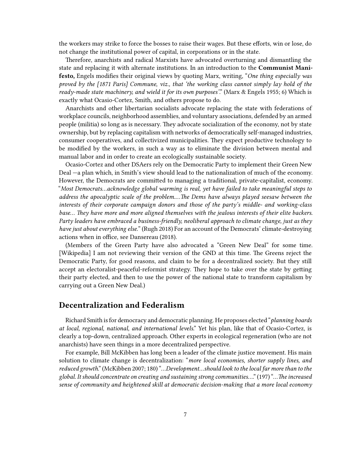the workers may strike to force the bosses to raise their wages. But these efforts, win or lose, do not change the institutional power of capital, in corporations or in the state.

Therefore, anarchists and radical Marxists have advocated overturning and dismantling the state and replacing it with alternate institutions. In an introduction to the **Communist Manifesto,** Engels modifies their original views by quoting Marx, writing, "*One thing especially was proved by the [1871 Paris] Commune, viz., that 'the working class cannot simply lay hold of the ready-made state machinery, and wield it for its own purposes'*." (Marx & Engels 1955; 6) Which is exactly what Ocasio-Cortez, Smith, and others propose to do.

Anarchists and other libertarian socialists advocate replacing the state with federations of workplace councils, neighborhood assemblies, and voluntary associations, defended by an armed people (militia) so long as is necessary. They advocate socialization of the economy, not by state ownership, but by replacing capitalism with networks of democratically self-managed industries, consumer cooperatives, and collectivized municipalities. They expect productive technology to be modified by the workers, in such a way as to eliminate the division between mental and manual labor and in order to create an ecologically sustainable society.

Ocasio-Cortez and other DSAers rely on the Democratic Party to implement their Green New Deal —a plan which, in Smith's view should lead to the nationalization of much of the economy. However, the Democrats are committed to managing a traditional, private-capitalist, economy. "*Most Democrats…acknowledge global warming is real, yet have failed to take meaningful steps to address the apocalyptic scale of the problem.…The Dems have always played seesaw between the interests of their corporate campaign donors and those of the party's middle- and working-class base… They have more and more aligned themselves with the jealous interests of their elite backers. Party leaders have embraced a business-friendly, neoliberal approach to climate change, just as they have just about everything else.*" (Rugh 2018) For an account of the Democrats' climate-destroying actions when in office, see Dansereau (2018).

(Members of the Green Party have also advocated a "Green New Deal" for some time. [Wikipedia] I am not reviewing their version of the GND at this time. The Greens reject the Democratic Party, for good reasons, and claim to be for a decentralized society. But they still accept an electoralist-peaceful-reformist strategy. They hope to take over the state by getting their party elected, and then to use the power of the national state to transform capitalism by carrying out a Green New Deal.)

#### <span id="page-6-0"></span>**Decentralization and Federalism**

Richard Smith is for democracy and democratic planning. He proposes elected "*planning boards at local, regional, national, and international levels*." Yet his plan, like that of Ocasio-Cortez, is clearly a top-down, centralized approach. Other experts in ecological regeneration (who are not anarchists) have seen things in a more decentralized perspective.

For example, Bill McKibben has long been a leader of the climate justice movement. His main solution to climate change is decentralization: "*more local economies, shorter supply lines, and reduced growth*." (McKibben 2007; 180) "…*Development…should look to the local far more than to the global. It should concentrate on creating and sustaining strong communities…*." (197) "…*The increased sense of community and heightened skill at democratic decision-making that a more local economy*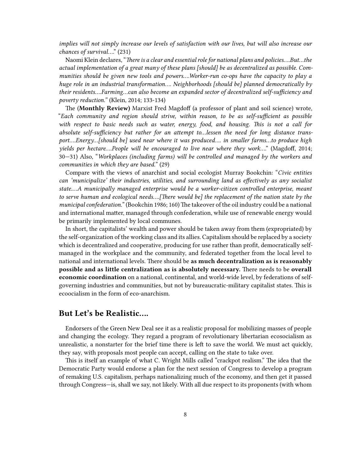*implies will not simply increase our levels of satisfaction with our lives, but will also increase our chances of survival*…." (231)

Naomi Klein declares, "*There is a clear and essential role for national plans and policies….But…the actual implementation of a great many of these plans [should] be as decentralized as possible. Communities should be given new tools and powers….Worker-run co-ops have the capacity to play a huge role in an industrial transformation…. Neighborhoods [should be] planned democratically by their residents….Farming…can also become an expanded sector of decentralized self-sufficiency and poverty reduction."* (Klein, 2014; 133-134)

The (**Monthly Review)** Marxist Fred Magdoff (a professor of plant and soil science) wrote, "*Each community and region should strive, within reason, to be as self-sufficient as possible with respect to basic needs such as water, energy, food, and housing. This is not a call for absolute self-sufficiency but rather for an attempt to…lessen the need for long distance transport….Energy…[should be] used near where it was produced…. in smaller farms…to produce high yields per hectare….People will be encouraged to live near where they work…*." (Magdoff, 2014; 30—31) Also, "*Workplaces (including farms) will be controlled and managed by the workers and communities in which they are based.*" (29)

Compare with the views of anarchist and social ecologist Murray Bookchin: "*Civic entities can 'municipalize' their industries, utilities, and surrounding land as effectively as any socialist state.…A municipally managed enterprise would be a worker-citizen controlled enterprise, meant to serve human and ecological needs….[There would be] the replacement of the nation state by the municipal confederation.*" (Bookchin 1986; 160) The takeover of the oil industry could be a national and international matter, managed through confederation, while use of renewable energy would be primarily implemented by local communes.

In short, the capitalists' wealth and power should be taken away from them (expropriated) by the self-organization of the working class and its allies. Capitalism should be replaced by a society which is decentralized and cooperative, producing for use rather than profit, democratically selfmanaged in the workplace and the community, and federated together from the local level to national and international levels. There should be **as much decentralization as is reasonably possible and as little centralization as is absolutely necessary.** There needs to be **overall economic coordination** on a national, continental, and world-wide level, by federations of selfgoverning industries and communities, but not by bureaucratic-military capitalist states. This is ecoocialism in the form of eco-anarchism.

### <span id="page-7-0"></span>**But Let's be Realistic….**

Endorsers of the Green New Deal see it as a realistic proposal for mobilizing masses of people and changing the ecology. They regard a program of revolutionary libertarian ecosocialism as unrealistic, a nonstarter for the brief time there is left to save the world. We must act quickly, they say, with proposals most people can accept, calling on the state to take over.

This is itself an example of what C. Wright Mills called "crackpot realism." The idea that the Democratic Party would endorse a plan for the next session of Congress to develop a program of remaking U.S. capitalism, perhaps nationalizing much of the economy, and then get it passed through Congress—is, shall we say, not likely. With all due respect to its proponents (with whom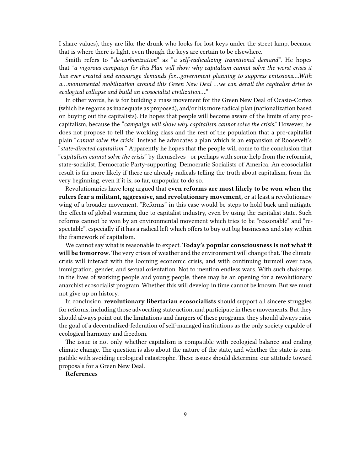I share values), they are like the drunk who looks for lost keys under the street lamp, because that is where there is light, even though the keys are certain to be elsewhere.

Smith refers to "*de-carbonization*" as "*a self-radicalizing transitional demand*". He hopes that "*a vigorous campaign for this Plan will show why capitalism cannot solve the worst crisis it has ever created and encourage demands for…government planning to suppress emissions….With a…monumental mobilization around this Green New Deal …we can derail the capitalist drive to ecological collapse and build an ecosocialist civilization*…."

In other words, he is for building a mass movement for the Green New Deal of Ocasio-Cortez (which he regards as inadequate as proposed), and/or his more radical plan (nationalization based on buying out the capitalists). He hopes that people will become aware of the limits of any procapitalism, because the "*campaign will show why capitalism cannot solve the crisis*." However, he does not propose to tell the working class and the rest of the population that a pro-capitalist plain "*cannot solve the crisis*" Instead he advocates a plan which is an expansion of Roosevelt's "*state-directed capitalism.*" Apparently he hopes that the people will come to the conclusion that "*capitalism cannot solve the crisis*" by themselves—or perhaps with some help from the reformist, state-socialist, Democratic Party-supporting, Democratic Socialists of America. An ecosocialist result is far more likely if there are already radicals telling the truth about capitalism, from the very beginning, even if it is, so far, unpopular to do so.

Revolutionaries have long argued that **even reforms are most likely to be won when the rulers fear a militant, aggressive, and revolutionary movement,** or at least a revolutionary wing of a broader movement. "Reforms" in this case would be steps to hold back and mitigate the effects of global warming due to capitalist industry, even by using the capitalist state. Such reforms cannot be won by an environmental movement which tries to be "reasonable" and "respectable", especially if it has a radical left which offers to buy out big businesses and stay within the framework of capitalism.

We cannot say what is reasonable to expect. **Today's popular consciousness is not what it will be tomorrow**. The very crises of weather and the environment will change that. The climate crisis will interact with the looming economic crisis, and with continuing turmoil over race, immigration, gender, and sexual orientation. Not to mention endless wars. With such shakeups in the lives of working people and young people, there may be an opening for a revolutionary anarchist ecosocialist program. Whether this will develop in time cannot be known. But we must not give up on history.

In conclusion, **revolutionary libertarian ecosocialists** should support all sincere struggles for reforms, including those advocating state action, and participate in these movements. But they should always point out the limitations and dangers of these programs. they should always raise the goal of a decentralized-federation of self-managed institutions as the only society capable of ecological harmony and freedom.

The issue is not only whether capitalism is compatible with ecological balance and ending climate change. The question is also about the nature of the state, and whether the state is compatible with avoiding ecological catastrophe. These issues should determine our attitude toward proposals for a Green New Deal.

#### **References**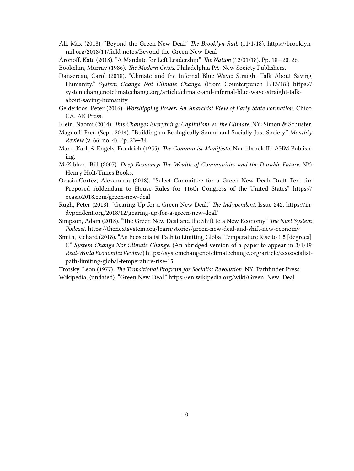- All, Max (2018). "Beyond the Green New Deal." *The Brooklyn Rail.* (11/1/18). https://brooklynrail.org/2018/11/field-notes/Beyond-the-Green-New-Deal
- Aronoff, Kate (2018). "A Mandate for Left Leadership." *The Nation* (12/31/18). Pp. 18—20, 26.

Bookchin, Murray (1986). *The Modern Crisis*. Philadelphia PA: New Society Publishers.

- Dansereau, Carol (2018). "Climate and the Infernal Blue Wave: Straight Talk About Saving Humanity." *System Change Not Climate Change*. (From Counterpunch ll/13/18.) https:// systemchangenotclimatechange.org/article/climate-and-infernal-blue-wave-straight-talkabout-saving-humanity
- Gelderloos, Peter (2016). *Worshipping Power: An Anarchist View of Early State Formation.* Chico CA: AK Press.

Klein, Naomi (2014). *This Changes Everything: Capitalism vs. the Climate*. NY: Simon & Schuster.

- Magdoff, Fred (Sept. 2014). "Building an Ecologically Sound and Socially Just Society." *Monthly Review* (v. 66; no. 4). Pp. 23—34.
- Marx, Karl, & Engels, Friedrich (1955). *The Communist Manifesto*. Northbrook IL: AHM Publishing.
- McKibben, Bill (2007). *Deep Economy: The Wealth of Communities and the Durable Future.* NY: Henry Holt/Times Books.
- Ocasio-Cortez, Alexandria (2018). "Select Committee for a Green New Deal: Draft Text for Proposed Addendum to House Rules for 116th Congress of the United States" https:// ocasio2018.com/green-new-deal
- Rugh, Peter (2018). "Gearing Up for a Green New Deal." *The Indypendent*. Issue 242. https://indypendent.org/2018/12/gearing-up-for-a-green-new-deal/
- Simpson, Adam (2018). "The Green New Deal and the Shift to a New Economy" *The Next System Podcast.* https://thenextsystem.org/learn/stories/green-new-deal-and-shift-new-economy
- Smith, Richard (2018). "An Ecosocialist Path to Limiting Global Temperature Rise to 1.5 [degrees] C" *System Change Not Climate Change.* (An abridged version of a paper to appear in 3/1/19 *Real-World Economics Review*.) https://systemchangenotclimatechange.org/article/ecosocialistpath-limiting-global-temperature-rise-15

Trotsky, Leon (1977). *The Transitional Program for Socialist Revolution*. NY: Pathfinder Press. Wikipedia, (undated). "Green New Deal." https://en.wikipedia.org/wiki/Green\_New\_Deal